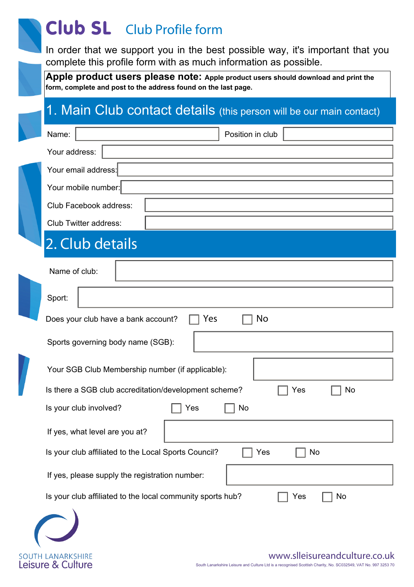# Club SL Club Profile form

In order that we support you in the best possible way, it's important that you complete this profile form with as much information as possible.

**Apple product users please note:** Apple product users should download and print the **form, complete and post to the address found on the last page.**

## 1. Main Club contact details (this person will be our main contact)

|                                                | Name:<br>Position in club                                               |  |  |  |  |
|------------------------------------------------|-------------------------------------------------------------------------|--|--|--|--|
|                                                | Your address:                                                           |  |  |  |  |
|                                                | Your email address:                                                     |  |  |  |  |
|                                                | Your mobile number:                                                     |  |  |  |  |
|                                                | Club Facebook address:                                                  |  |  |  |  |
|                                                | Club Twitter address:                                                   |  |  |  |  |
|                                                | 2. Club details                                                         |  |  |  |  |
|                                                | Name of club:                                                           |  |  |  |  |
|                                                | Sport:                                                                  |  |  |  |  |
|                                                | Yes<br>No<br>Does your club have a bank account?                        |  |  |  |  |
|                                                | Sports governing body name (SGB):                                       |  |  |  |  |
|                                                | Your SGB Club Membership number (if applicable):                        |  |  |  |  |
|                                                | Is there a SGB club accreditation/development scheme?<br>No<br>Yes      |  |  |  |  |
|                                                | Is your club involved?<br>Yes<br>No                                     |  |  |  |  |
|                                                | If yes, what level are you at?                                          |  |  |  |  |
|                                                | Is your club affiliated to the Local Sports Council?<br>No<br>Yes       |  |  |  |  |
| If yes, please supply the registration number: |                                                                         |  |  |  |  |
|                                                | Is your club affiliated to the local community sports hub?<br>No<br>Yes |  |  |  |  |
|                                                |                                                                         |  |  |  |  |

SOUTH LANARKSHIRE<br>Leisure & Culture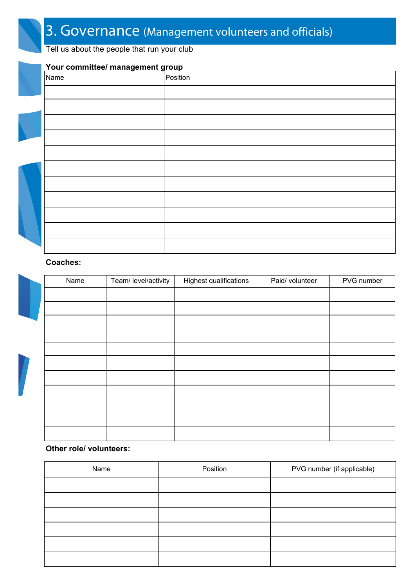Tell us about the people that run your club

# **Your committee/ management group** Position

### **Coaches:**

| Name | Team/ level/activity | Highest qualifications | Paid/ volunteer | PVG number |
|------|----------------------|------------------------|-----------------|------------|
|      |                      |                        |                 |            |
|      |                      |                        |                 |            |
|      |                      |                        |                 |            |
|      |                      |                        |                 |            |
|      |                      |                        |                 |            |
|      |                      |                        |                 |            |
|      |                      |                        |                 |            |
|      |                      |                        |                 |            |
|      |                      |                        |                 |            |
|      |                      |                        |                 |            |
|      |                      |                        |                 |            |

### **Other role/ volunteers:**

| Name | Position<br>PVG number (if applicable) |  |
|------|----------------------------------------|--|
|      |                                        |  |
|      |                                        |  |
|      |                                        |  |
|      |                                        |  |
|      |                                        |  |
|      |                                        |  |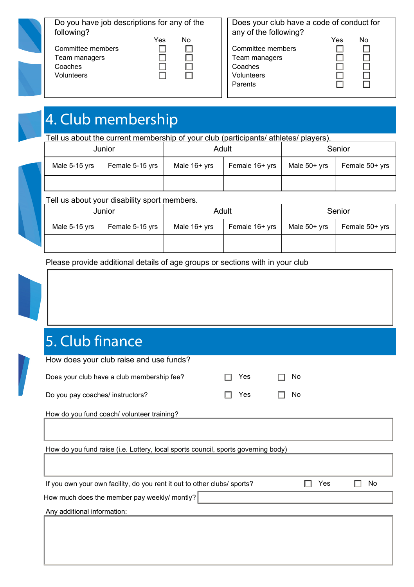| Do you have job descriptions for any of the<br>following? |     |    | Does your club have a code of conduct for<br>any of the following? |                   |     |    |
|-----------------------------------------------------------|-----|----|--------------------------------------------------------------------|-------------------|-----|----|
|                                                           | Yes | No |                                                                    |                   | Yes | No |
| Committee members                                         |     |    |                                                                    | Committee members |     |    |
| Team managers                                             |     |    |                                                                    | Team managers     |     |    |
| Coaches                                                   |     |    |                                                                    | Coaches           |     |    |
| Volunteers                                                |     |    |                                                                    | Volunteers        |     |    |
|                                                           |     |    |                                                                    | Parents           |     |    |

# 4. Club membership

Tell us about the current membership of your club (participants/ athletes/ players).

| Junior        |                 | Adult        |                | Senior       |                |
|---------------|-----------------|--------------|----------------|--------------|----------------|
| Male 5-15 yrs | Female 5-15 yrs | Male 16+ yrs | Female 16+ yrs | Male 50+ yrs | Female 50+ yrs |
|               |                 |              |                |              |                |

### Tell us about your disability sport members.

| $\sim$ $\sim$ $\sim$ $\sim$<br>Junior |                 |                | Adult          | Senior       |                |  |
|---------------------------------------|-----------------|----------------|----------------|--------------|----------------|--|
| Male 5-15 yrs                         | Female 5-15 yrs | Male $16+$ yrs | Female 16+ yrs | Male 50+ yrs | Female 50+ yrs |  |
|                                       |                 |                |                |              |                |  |

Please provide additional details of age groups or sections with in your club



# 5. Club finance

| How does your club raise and use funds?                                           |     |     |    |  |  |  |
|-----------------------------------------------------------------------------------|-----|-----|----|--|--|--|
| Does your club have a club membership fee?                                        | Yes | No  |    |  |  |  |
| Do you pay coaches/ instructors?                                                  | Yes | No  |    |  |  |  |
| How do you fund coach/ volunteer training?                                        |     |     |    |  |  |  |
|                                                                                   |     |     |    |  |  |  |
| How do you fund raise (i.e. Lottery, local sports council, sports governing body) |     |     |    |  |  |  |
|                                                                                   |     |     |    |  |  |  |
| If you own your own facility, do you rent it out to other clubs/sports?           |     | Yes | No |  |  |  |
| How much does the member pay weekly/ montly?                                      |     |     |    |  |  |  |
| Any additional information:                                                       |     |     |    |  |  |  |
|                                                                                   |     |     |    |  |  |  |
|                                                                                   |     |     |    |  |  |  |